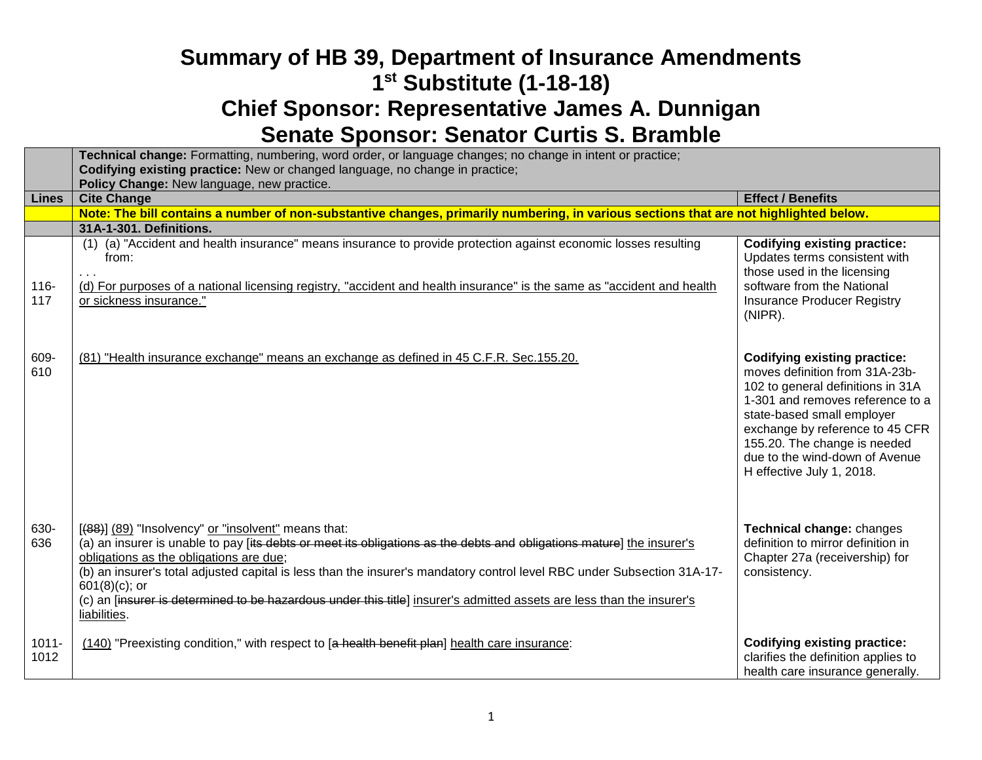|                  | Technical change: Formatting, numbering, word order, or language changes; no change in intent or practice;<br>Codifying existing practice: New or changed language, no change in practice;<br>Policy Change: New language, new practice.                                                                                                                                                                                                                                                                        |                                                                                                                                                                                                                                                                                                                |
|------------------|-----------------------------------------------------------------------------------------------------------------------------------------------------------------------------------------------------------------------------------------------------------------------------------------------------------------------------------------------------------------------------------------------------------------------------------------------------------------------------------------------------------------|----------------------------------------------------------------------------------------------------------------------------------------------------------------------------------------------------------------------------------------------------------------------------------------------------------------|
| <b>Lines</b>     | <b>Cite Change</b>                                                                                                                                                                                                                                                                                                                                                                                                                                                                                              | <b>Effect / Benefits</b>                                                                                                                                                                                                                                                                                       |
|                  | Note: The bill contains a number of non-substantive changes, primarily numbering, in various sections that are not highlighted below.                                                                                                                                                                                                                                                                                                                                                                           |                                                                                                                                                                                                                                                                                                                |
|                  | 31A-1-301. Definitions.                                                                                                                                                                                                                                                                                                                                                                                                                                                                                         |                                                                                                                                                                                                                                                                                                                |
| $116 -$<br>117   | (1) (a) "Accident and health insurance" means insurance to provide protection against economic losses resulting<br>from:<br>(d) For purposes of a national licensing registry, "accident and health insurance" is the same as "accident and health<br>or sickness insurance."                                                                                                                                                                                                                                   | <b>Codifying existing practice:</b><br>Updates terms consistent with<br>those used in the licensing<br>software from the National<br><b>Insurance Producer Registry</b><br>(NIPR).                                                                                                                             |
| 609-<br>610      | (81) "Health insurance exchange" means an exchange as defined in 45 C.F.R. Sec.155.20.                                                                                                                                                                                                                                                                                                                                                                                                                          | <b>Codifying existing practice:</b><br>moves definition from 31A-23b-<br>102 to general definitions in 31A<br>1-301 and removes reference to a<br>state-based small employer<br>exchange by reference to 45 CFR<br>155.20. The change is needed<br>due to the wind-down of Avenue<br>H effective July 1, 2018. |
| 630-<br>636      | [(88)] (89) "Insolvency" or "insolvent" means that:<br>(a) an insurer is unable to pay [its debts or meet its obligations as the debts and obligations mature] the insurer's<br>obligations as the obligations are due;<br>(b) an insurer's total adjusted capital is less than the insurer's mandatory control level RBC under Subsection 31A-17-<br>$601(8)(c)$ ; or<br>(c) an [insurer is determined to be hazardous under this title] insurer's admitted assets are less than the insurer's<br>liabilities. | Technical change: changes<br>definition to mirror definition in<br>Chapter 27a (receivership) for<br>consistency.                                                                                                                                                                                              |
| $1011 -$<br>1012 | (140) "Preexisting condition," with respect to [a health benefit plan] health care insurance:                                                                                                                                                                                                                                                                                                                                                                                                                   | <b>Codifying existing practice:</b><br>clarifies the definition applies to<br>health care insurance generally.                                                                                                                                                                                                 |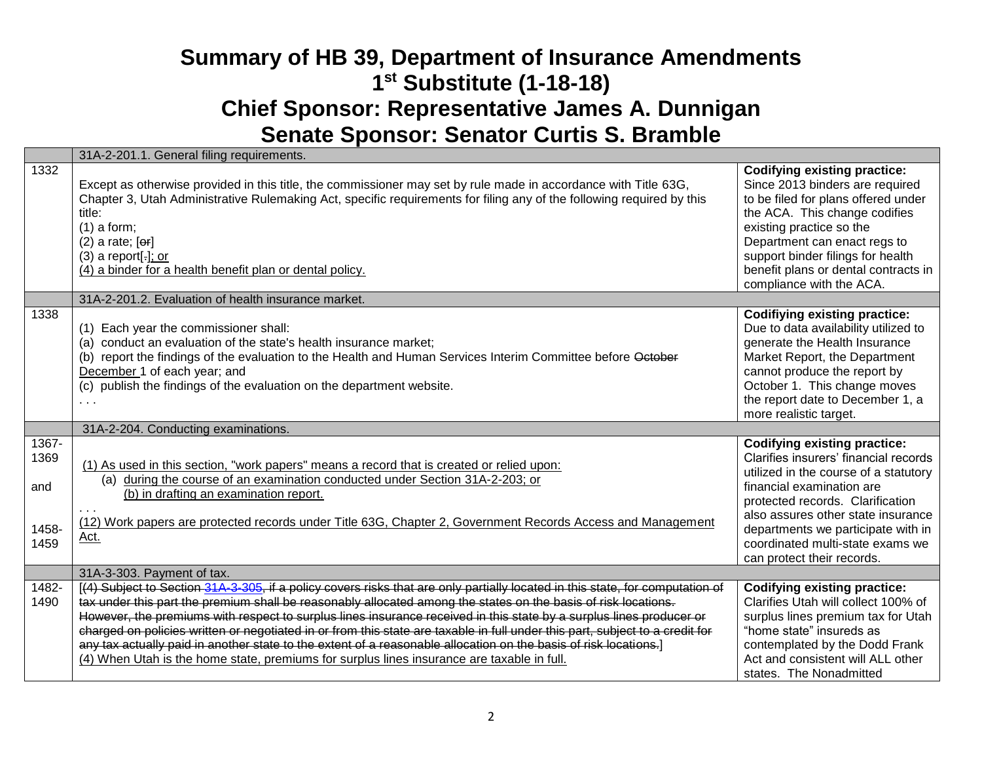|                                       | 31A-2-201.1. General filing requirements.                                                                                                                                                                                                                                                                                                                                                                                                                                                                                                                                                                                                                                                                                |                                                                                                                                                                                                                                                                                                                                      |
|---------------------------------------|--------------------------------------------------------------------------------------------------------------------------------------------------------------------------------------------------------------------------------------------------------------------------------------------------------------------------------------------------------------------------------------------------------------------------------------------------------------------------------------------------------------------------------------------------------------------------------------------------------------------------------------------------------------------------------------------------------------------------|--------------------------------------------------------------------------------------------------------------------------------------------------------------------------------------------------------------------------------------------------------------------------------------------------------------------------------------|
| 1332                                  | Except as otherwise provided in this title, the commissioner may set by rule made in accordance with Title 63G,<br>Chapter 3, Utah Administrative Rulemaking Act, specific requirements for filing any of the following required by this<br>title:<br>$(1)$ a form;<br>$(2)$ a rate; $[or]$<br>$(3)$ a report[ $\cdot$ ]; or<br>(4) a binder for a health benefit plan or dental policy.                                                                                                                                                                                                                                                                                                                                 | <b>Codifying existing practice:</b><br>Since 2013 binders are required<br>to be filed for plans offered under<br>the ACA. This change codifies<br>existing practice so the<br>Department can enact regs to<br>support binder filings for health<br>benefit plans or dental contracts in<br>compliance with the ACA.                  |
|                                       | 31A-2-201.2. Evaluation of health insurance market.                                                                                                                                                                                                                                                                                                                                                                                                                                                                                                                                                                                                                                                                      |                                                                                                                                                                                                                                                                                                                                      |
| 1338                                  | (1) Each year the commissioner shall:<br>(a) conduct an evaluation of the state's health insurance market;<br>(b) report the findings of the evaluation to the Health and Human Services Interim Committee before October<br>December 1 of each year; and<br>(c) publish the findings of the evaluation on the department website.                                                                                                                                                                                                                                                                                                                                                                                       | <b>Codifiying existing practice:</b><br>Due to data availability utilized to<br>generate the Health Insurance<br>Market Report, the Department<br>cannot produce the report by<br>October 1. This change moves<br>the report date to December 1, a<br>more realistic target.                                                         |
|                                       | 31A-2-204. Conducting examinations.                                                                                                                                                                                                                                                                                                                                                                                                                                                                                                                                                                                                                                                                                      |                                                                                                                                                                                                                                                                                                                                      |
| 1367-<br>1369<br>and<br>1458-<br>1459 | (1) As used in this section, "work papers" means a record that is created or relied upon:<br>(a) during the course of an examination conducted under Section 31A-2-203; or<br>(b) in drafting an examination report.<br>(12) Work papers are protected records under Title 63G, Chapter 2, Government Records Access and Management<br>Act.                                                                                                                                                                                                                                                                                                                                                                              | <b>Codifying existing practice:</b><br>Clarifies insurers' financial records<br>utilized in the course of a statutory<br>financial examination are<br>protected records. Clarification<br>also assures other state insurance<br>departments we participate with in<br>coordinated multi-state exams we<br>can protect their records. |
|                                       | 31A-3-303. Payment of tax.                                                                                                                                                                                                                                                                                                                                                                                                                                                                                                                                                                                                                                                                                               |                                                                                                                                                                                                                                                                                                                                      |
| 1482-<br>1490                         | [(4) Subject to Section 31A-3-305, if a policy covers risks that are only partially located in this state, for computation of<br>tax under this part the premium shall be reasonably allocated among the states on the basis of risk locations.<br>However, the premiums with respect to surplus lines insurance received in this state by a surplus lines producer or<br>charged on policies written or negotiated in or from this state are taxable in full under this part, subject to a credit for<br>any tax actually paid in another state to the extent of a reasonable allocation on the basis of risk locations.]<br>(4) When Utah is the home state, premiums for surplus lines insurance are taxable in full. | <b>Codifying existing practice:</b><br>Clarifies Utah will collect 100% of<br>surplus lines premium tax for Utah<br>"home state" insureds as<br>contemplated by the Dodd Frank<br>Act and consistent will ALL other<br>states. The Nonadmitted                                                                                       |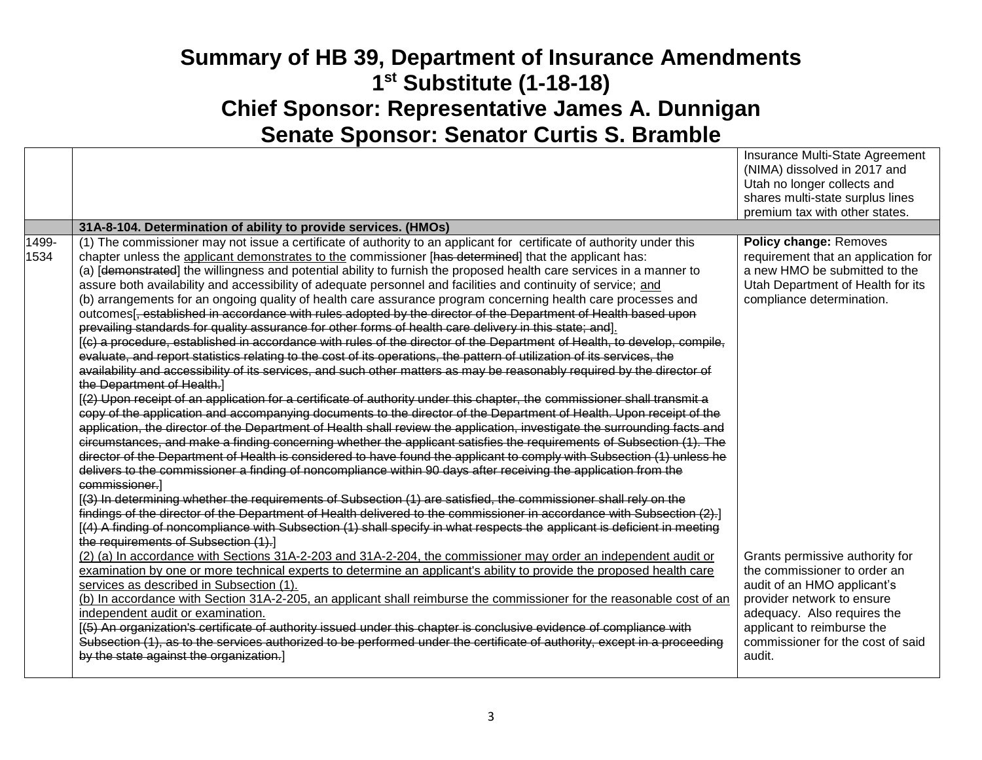|               |                                                                                                                                                                                                                                                                                                                                                                                                                                                                                                                                                                                                                                                                                                                                                                                                                                                                                                                                                                                                                                                                                                                                                                                                                                                                                                                                                                                                                                                                                                                                                                                                                                                                                                                                                                                                                                                                                                                                                                                                                                                                                                                                                                                                                                                                                                                                                                                                                                                                                                                                                                                                                                                                                                                                                                                                                                                                                                                                                                                                                         | Insurance Multi-State Agreement<br>(NIMA) dissolved in 2017 and<br>Utah no longer collects and<br>shares multi-state surplus lines<br>premium tax with other states.                                                                                                                                                                                          |
|---------------|-------------------------------------------------------------------------------------------------------------------------------------------------------------------------------------------------------------------------------------------------------------------------------------------------------------------------------------------------------------------------------------------------------------------------------------------------------------------------------------------------------------------------------------------------------------------------------------------------------------------------------------------------------------------------------------------------------------------------------------------------------------------------------------------------------------------------------------------------------------------------------------------------------------------------------------------------------------------------------------------------------------------------------------------------------------------------------------------------------------------------------------------------------------------------------------------------------------------------------------------------------------------------------------------------------------------------------------------------------------------------------------------------------------------------------------------------------------------------------------------------------------------------------------------------------------------------------------------------------------------------------------------------------------------------------------------------------------------------------------------------------------------------------------------------------------------------------------------------------------------------------------------------------------------------------------------------------------------------------------------------------------------------------------------------------------------------------------------------------------------------------------------------------------------------------------------------------------------------------------------------------------------------------------------------------------------------------------------------------------------------------------------------------------------------------------------------------------------------------------------------------------------------------------------------------------------------------------------------------------------------------------------------------------------------------------------------------------------------------------------------------------------------------------------------------------------------------------------------------------------------------------------------------------------------------------------------------------------------------------------------------------------------|---------------------------------------------------------------------------------------------------------------------------------------------------------------------------------------------------------------------------------------------------------------------------------------------------------------------------------------------------------------|
|               | 31A-8-104. Determination of ability to provide services. (HMOs)                                                                                                                                                                                                                                                                                                                                                                                                                                                                                                                                                                                                                                                                                                                                                                                                                                                                                                                                                                                                                                                                                                                                                                                                                                                                                                                                                                                                                                                                                                                                                                                                                                                                                                                                                                                                                                                                                                                                                                                                                                                                                                                                                                                                                                                                                                                                                                                                                                                                                                                                                                                                                                                                                                                                                                                                                                                                                                                                                         |                                                                                                                                                                                                                                                                                                                                                               |
| 1499-<br>1534 | (1) The commissioner may not issue a certificate of authority to an applicant for certificate of authority under this<br>chapter unless the applicant demonstrates to the commissioner [has determined] that the applicant has:<br>(a) [demonstrated] the willingness and potential ability to furnish the proposed health care services in a manner to<br>assure both availability and accessibility of adequate personnel and facilities and continuity of service; and<br>(b) arrangements for an ongoing quality of health care assurance program concerning health care processes and<br>outcomes <sup>[</sup> , established in accordance with rules adopted by the director of the Department of Health based upon<br>prevailing standards for quality assurance for other forms of health care delivery in this state; and].<br>[(c) a procedure, established in accordance with rules of the director of the Department of Health, to develop, compile,<br>evaluate, and report statistics relating to the cost of its operations, the pattern of utilization of its services, the<br>availability and accessibility of its services, and such other matters as may be reasonably required by the director of<br>the Department of Health.]<br>[(2) Upon receipt of an application for a certificate of authority under this chapter, the commissioner shall transmit a<br>copy of the application and accompanying documents to the director of the Department of Health. Upon receipt of the<br>application, the director of the Department of Health shall review the application, investigate the surrounding facts and<br>circumstances, and make a finding concerning whether the applicant satisfies the requirements of Subsection (1). The<br>director of the Department of Health is considered to have found the applicant to comply with Subsection (1) unless he<br>delivers to the commissioner a finding of noncompliance within 90 days after receiving the application from the<br>commissioner.]<br>[(3) In determining whether the requirements of Subsection (1) are satisfied, the commissioner shall rely on the<br>findings of the director of the Department of Health delivered to the commissioner in accordance with Subsection (2).<br>[(4) A finding of noncompliance with Subsection (1) shall specify in what respects the applicant is deficient in meeting<br>the requirements of Subsection (1).<br>(2) (a) In accordance with Sections 31A-2-203 and 31A-2-204, the commissioner may order an independent audit or<br>examination by one or more technical experts to determine an applicant's ability to provide the proposed health care<br>services as described in Subsection (1).<br>(b) In accordance with Section 31A-2-205, an applicant shall reimburse the commissioner for the reasonable cost of an<br>independent audit or examination.<br>[(5) An organization's certificate of authority issued under this chapter is conclusive evidence of compliance with | Policy change: Removes<br>requirement that an application for<br>a new HMO be submitted to the<br>Utah Department of Health for its<br>compliance determination.<br>Grants permissive authority for<br>the commissioner to order an<br>audit of an HMO applicant's<br>provider network to ensure<br>adequacy. Also requires the<br>applicant to reimburse the |
|               | Subsection (1), as to the services authorized to be performed under the certificate of authority, except in a proceeding<br>by the state against the organization.]                                                                                                                                                                                                                                                                                                                                                                                                                                                                                                                                                                                                                                                                                                                                                                                                                                                                                                                                                                                                                                                                                                                                                                                                                                                                                                                                                                                                                                                                                                                                                                                                                                                                                                                                                                                                                                                                                                                                                                                                                                                                                                                                                                                                                                                                                                                                                                                                                                                                                                                                                                                                                                                                                                                                                                                                                                                     | commissioner for the cost of said<br>audit.                                                                                                                                                                                                                                                                                                                   |
|               |                                                                                                                                                                                                                                                                                                                                                                                                                                                                                                                                                                                                                                                                                                                                                                                                                                                                                                                                                                                                                                                                                                                                                                                                                                                                                                                                                                                                                                                                                                                                                                                                                                                                                                                                                                                                                                                                                                                                                                                                                                                                                                                                                                                                                                                                                                                                                                                                                                                                                                                                                                                                                                                                                                                                                                                                                                                                                                                                                                                                                         |                                                                                                                                                                                                                                                                                                                                                               |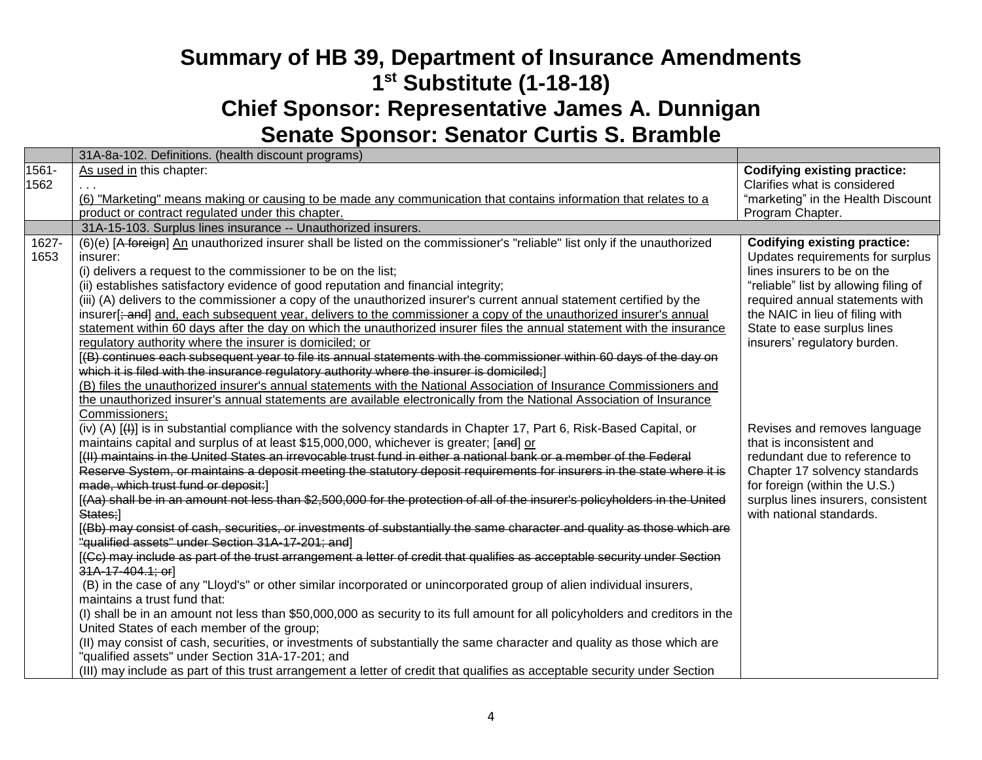|       | 31A-8a-102. Definitions. (health discount programs)                                                                                                            |                                                                |
|-------|----------------------------------------------------------------------------------------------------------------------------------------------------------------|----------------------------------------------------------------|
| 1561- | As used in this chapter:                                                                                                                                       | <b>Codifying existing practice:</b>                            |
| 1562  |                                                                                                                                                                | Clarifies what is considered                                   |
|       | (6) "Marketing" means making or causing to be made any communication that contains information that relates to a                                               | "marketing" in the Health Discount                             |
|       | product or contract regulated under this chapter.                                                                                                              | Program Chapter.                                               |
|       | 31A-15-103. Surplus lines insurance -- Unauthorized insurers.                                                                                                  |                                                                |
| 1627- | (6)(e) [A foreign] An unauthorized insurer shall be listed on the commissioner's "reliable" list only if the unauthorized                                      | <b>Codifying existing practice:</b>                            |
| 1653  | insurer:                                                                                                                                                       | Updates requirements for surplus                               |
|       | (i) delivers a request to the commissioner to be on the list;                                                                                                  | lines insurers to be on the                                    |
|       | (ii) establishes satisfactory evidence of good reputation and financial integrity;                                                                             | "reliable" list by allowing filing of                          |
|       | (iii) (A) delivers to the commissioner a copy of the unauthorized insurer's current annual statement certified by the                                          | required annual statements with                                |
|       | insurer[; and] and, each subsequent year, delivers to the commissioner a copy of the unauthorized insurer's annual                                             | the NAIC in lieu of filing with                                |
|       | statement within 60 days after the day on which the unauthorized insurer files the annual statement with the insurance                                         | State to ease surplus lines                                    |
|       | regulatory authority where the insurer is domiciled; or                                                                                                        | insurers' regulatory burden.                                   |
|       | [(B) continues each subsequent year to file its annual statements with the commissioner within 60 days of the day on                                           |                                                                |
|       | which it is filed with the insurance regulatory authority where the insurer is domiciled;]                                                                     |                                                                |
|       | (B) files the unauthorized insurer's annual statements with the National Association of Insurance Commissioners and                                            |                                                                |
|       | the unauthorized insurer's annual statements are available electronically from the National Association of Insurance                                           |                                                                |
|       | Commissioners;                                                                                                                                                 |                                                                |
|       | (iv) (A) [(+)] is in substantial compliance with the solvency standards in Chapter 17, Part 6, Risk-Based Capital, or                                          | Revises and removes language                                   |
|       | maintains capital and surplus of at least \$15,000,000, whichever is greater; [and] or                                                                         | that is inconsistent and                                       |
|       | [(II) maintains in the United States an irrevocable trust fund in either a national bank or a member of the Federal                                            | redundant due to reference to                                  |
|       | Reserve System, or maintains a deposit meeting the statutory deposit requirements for insurers in the state where it is<br>made, which trust fund or deposit:] | Chapter 17 solvency standards<br>for foreign (within the U.S.) |
|       | [(Aa) shall be in an amount not less than \$2,500,000 for the protection of all of the insurer's policyholders in the United                                   | surplus lines insurers, consistent                             |
|       | States;]                                                                                                                                                       | with national standards.                                       |
|       | [(Bb) may consist of cash, securities, or investments of substantially the same character and quality as those which are                                       |                                                                |
|       | "qualified assets" under Section 31A-17-201; and]                                                                                                              |                                                                |
|       | [(Cc) may include as part of the trust arrangement a letter of credit that qualifies as acceptable security under Section                                      |                                                                |
|       | 31A-17-404.1; or]                                                                                                                                              |                                                                |
|       | (B) in the case of any "Lloyd's" or other similar incorporated or unincorporated group of alien individual insurers,                                           |                                                                |
|       | maintains a trust fund that:                                                                                                                                   |                                                                |
|       | (I) shall be in an amount not less than \$50,000,000 as security to its full amount for all policyholders and creditors in the                                 |                                                                |
|       | United States of each member of the group;                                                                                                                     |                                                                |
|       | (II) may consist of cash, securities, or investments of substantially the same character and quality as those which are                                        |                                                                |
|       | "qualified assets" under Section 31A-17-201; and                                                                                                               |                                                                |
|       | (III) may include as part of this trust arrangement a letter of credit that qualifies as acceptable security under Section                                     |                                                                |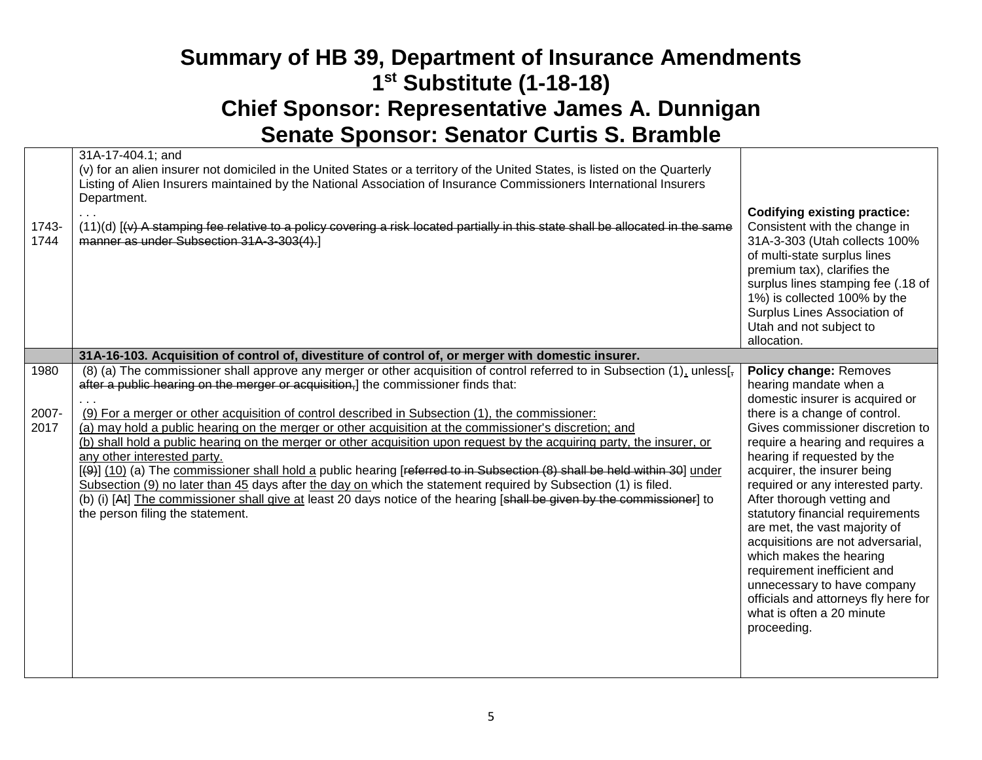|               | 31A-17-404.1; and<br>(v) for an alien insurer not domiciled in the United States or a territory of the United States, is listed on the Quarterly<br>Listing of Alien Insurers maintained by the National Association of Insurance Commissioners International Insurers<br>Department. | <b>Codifying existing practice:</b>                                                                                                                                                                                                                                                                               |
|---------------|---------------------------------------------------------------------------------------------------------------------------------------------------------------------------------------------------------------------------------------------------------------------------------------|-------------------------------------------------------------------------------------------------------------------------------------------------------------------------------------------------------------------------------------------------------------------------------------------------------------------|
| 1743-<br>1744 | (11)(d) [(v) A stamping fee relative to a policy covering a risk located partially in this state shall be allocated in the same<br>manner as under Subsection 31A-3-303(4).]                                                                                                          | Consistent with the change in<br>31A-3-303 (Utah collects 100%<br>of multi-state surplus lines<br>premium tax), clarifies the<br>surplus lines stamping fee (.18 of<br>1%) is collected 100% by the<br>Surplus Lines Association of<br>Utah and not subject to<br>allocation.                                     |
|               | 31A-16-103. Acquisition of control of, divestiture of control of, or merger with domestic insurer.                                                                                                                                                                                    |                                                                                                                                                                                                                                                                                                                   |
| 1980          | (8) (a) The commissioner shall approve any merger or other acquisition of control referred to in Subsection (1), unless[ $\frac{1}{2}$ ]<br>after a public hearing on the merger or acquisition.] the commissioner finds that:                                                        | Policy change: Removes<br>hearing mandate when a<br>domestic insurer is acquired or                                                                                                                                                                                                                               |
| 2007-<br>2017 | (9) For a merger or other acquisition of control described in Subsection (1), the commissioner:<br>(a) may hold a public hearing on the merger or other acquisition at the commissioner's discretion; and                                                                             | there is a change of control.<br>Gives commissioner discretion to                                                                                                                                                                                                                                                 |
|               | (b) shall hold a public hearing on the merger or other acquisition upon request by the acquiring party, the insurer, or<br>any other interested party.                                                                                                                                | require a hearing and requires a<br>hearing if requested by the                                                                                                                                                                                                                                                   |
|               | [(9)] (10) (a) The commissioner shall hold a public hearing [referred to in Subsection (8) shall be held within 30] under<br>Subsection (9) no later than 45 days after the day on which the statement required by Subsection (1) is filed.                                           | acquirer, the insurer being<br>required or any interested party.                                                                                                                                                                                                                                                  |
|               | (b) (i) [At] The commissioner shall give at least 20 days notice of the hearing [shall be given by the commissioner] to<br>the person filing the statement.                                                                                                                           | After thorough vetting and<br>statutory financial requirements<br>are met, the vast majority of<br>acquisitions are not adversarial,<br>which makes the hearing<br>requirement inefficient and<br>unnecessary to have company<br>officials and attorneys fly here for<br>what is often a 20 minute<br>proceeding. |
|               |                                                                                                                                                                                                                                                                                       |                                                                                                                                                                                                                                                                                                                   |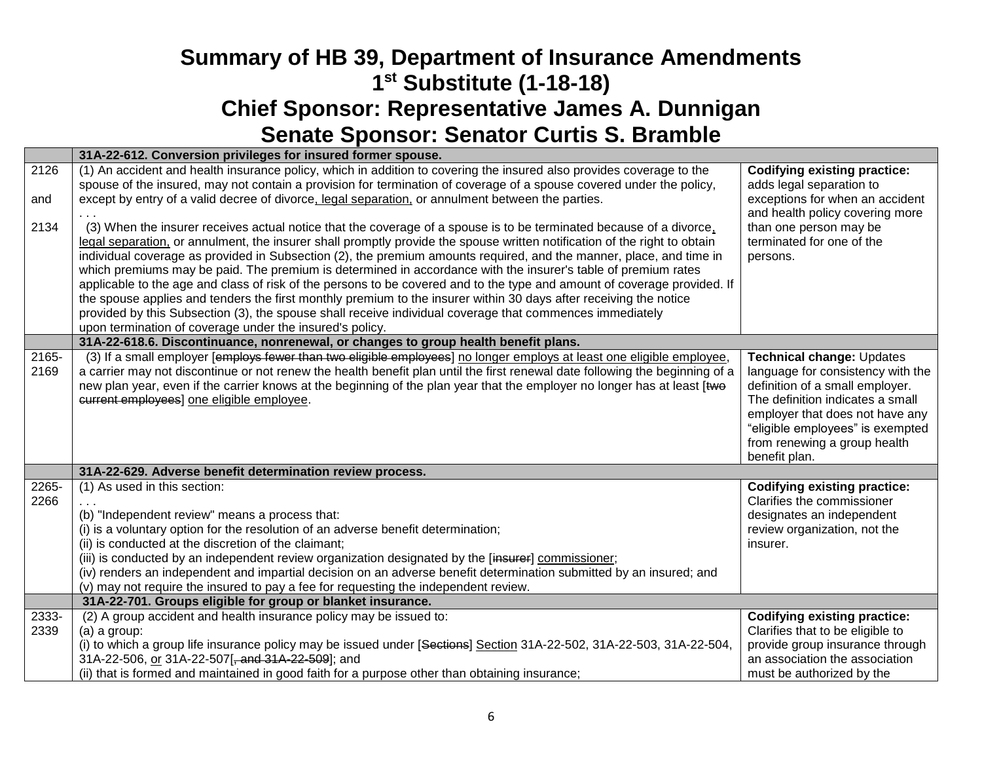|               | 31A-22-612. Conversion privileges for insured former spouse.                                                                                                                                                                                                                                                                                                                                                                                                                                                                                                                                                                                                                                                                                                                                                                                                                                                      |                                                                                                                                                                                                                                                               |
|---------------|-------------------------------------------------------------------------------------------------------------------------------------------------------------------------------------------------------------------------------------------------------------------------------------------------------------------------------------------------------------------------------------------------------------------------------------------------------------------------------------------------------------------------------------------------------------------------------------------------------------------------------------------------------------------------------------------------------------------------------------------------------------------------------------------------------------------------------------------------------------------------------------------------------------------|---------------------------------------------------------------------------------------------------------------------------------------------------------------------------------------------------------------------------------------------------------------|
| 2126<br>and   | (1) An accident and health insurance policy, which in addition to covering the insured also provides coverage to the<br>spouse of the insured, may not contain a provision for termination of coverage of a spouse covered under the policy,<br>except by entry of a valid decree of divorce, legal separation, or annulment between the parties.                                                                                                                                                                                                                                                                                                                                                                                                                                                                                                                                                                 | <b>Codifying existing practice:</b><br>adds legal separation to<br>exceptions for when an accident<br>and health policy covering more                                                                                                                         |
| 2134          | (3) When the insurer receives actual notice that the coverage of a spouse is to be terminated because of a divorce,<br>legal separation, or annulment, the insurer shall promptly provide the spouse written notification of the right to obtain<br>individual coverage as provided in Subsection (2), the premium amounts required, and the manner, place, and time in<br>which premiums may be paid. The premium is determined in accordance with the insurer's table of premium rates<br>applicable to the age and class of risk of the persons to be covered and to the type and amount of coverage provided. If<br>the spouse applies and tenders the first monthly premium to the insurer within 30 days after receiving the notice<br>provided by this Subsection (3), the spouse shall receive individual coverage that commences immediately<br>upon termination of coverage under the insured's policy. | than one person may be<br>terminated for one of the<br>persons.                                                                                                                                                                                               |
|               | 31A-22-618.6. Discontinuance, nonrenewal, or changes to group health benefit plans.                                                                                                                                                                                                                                                                                                                                                                                                                                                                                                                                                                                                                                                                                                                                                                                                                               |                                                                                                                                                                                                                                                               |
| 2165-<br>2169 | (3) If a small employer [employs fewer than two eligible employees] no longer employs at least one eligible employee,<br>a carrier may not discontinue or not renew the health benefit plan until the first renewal date following the beginning of a<br>new plan year, even if the carrier knows at the beginning of the plan year that the employer no longer has at least [two<br>current employees] one eligible employee.                                                                                                                                                                                                                                                                                                                                                                                                                                                                                    | Technical change: Updates<br>language for consistency with the<br>definition of a small employer.<br>The definition indicates a small<br>employer that does not have any<br>"eligible employees" is exempted<br>from renewing a group health<br>benefit plan. |
|               | 31A-22-629. Adverse benefit determination review process.                                                                                                                                                                                                                                                                                                                                                                                                                                                                                                                                                                                                                                                                                                                                                                                                                                                         |                                                                                                                                                                                                                                                               |
| 2265-<br>2266 | (1) As used in this section:<br>(b) "Independent review" means a process that:<br>(i) is a voluntary option for the resolution of an adverse benefit determination;<br>(ii) is conducted at the discretion of the claimant;<br>(iii) is conducted by an independent review organization designated by the [insurer] commissioner;<br>(iv) renders an independent and impartial decision on an adverse benefit determination submitted by an insured; and<br>(v) may not require the insured to pay a fee for requesting the independent review.                                                                                                                                                                                                                                                                                                                                                                   | <b>Codifying existing practice:</b><br>Clarifies the commissioner<br>designates an independent<br>review organization, not the<br>insurer.                                                                                                                    |
|               | 31A-22-701. Groups eligible for group or blanket insurance.                                                                                                                                                                                                                                                                                                                                                                                                                                                                                                                                                                                                                                                                                                                                                                                                                                                       |                                                                                                                                                                                                                                                               |
| 2333-<br>2339 | (2) A group accident and health insurance policy may be issued to:<br>(a) a group:<br>(i) to which a group life insurance policy may be issued under [Sections] Section 31A-22-502, 31A-22-503, 31A-22-504,                                                                                                                                                                                                                                                                                                                                                                                                                                                                                                                                                                                                                                                                                                       | <b>Codifying existing practice:</b><br>Clarifies that to be eligible to<br>provide group insurance through                                                                                                                                                    |
|               | 31A-22-506, or 31A-22-507[, and 31A-22-509]; and                                                                                                                                                                                                                                                                                                                                                                                                                                                                                                                                                                                                                                                                                                                                                                                                                                                                  | an association the association                                                                                                                                                                                                                                |
|               | (ii) that is formed and maintained in good faith for a purpose other than obtaining insurance;                                                                                                                                                                                                                                                                                                                                                                                                                                                                                                                                                                                                                                                                                                                                                                                                                    | must be authorized by the                                                                                                                                                                                                                                     |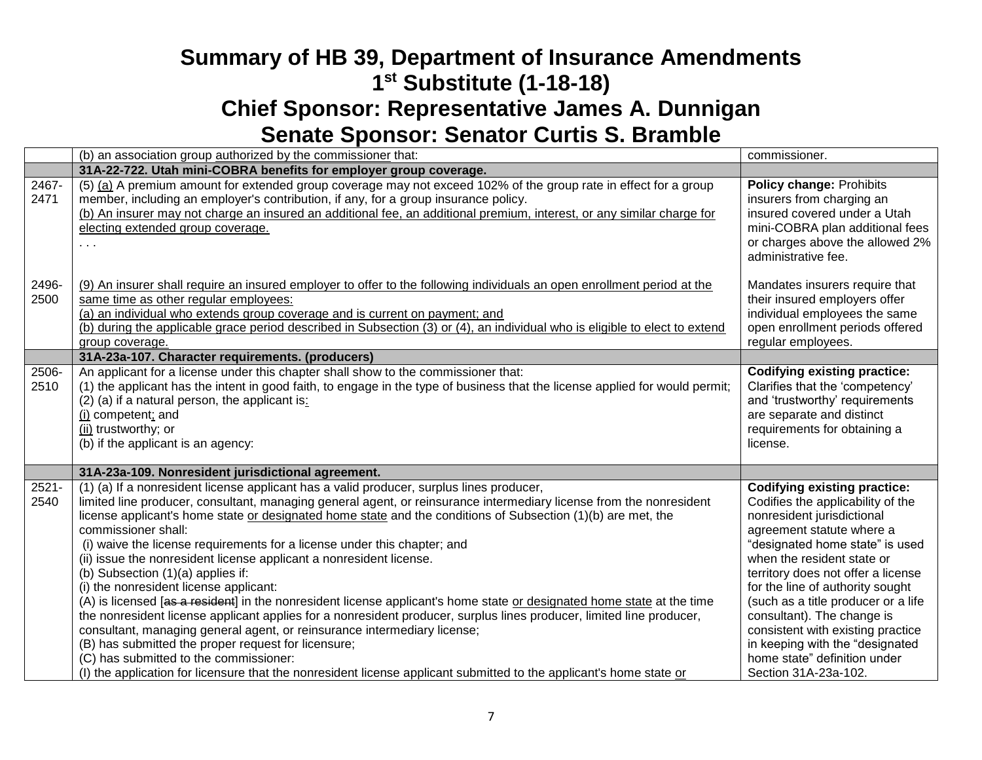|                  | (b) an association group authorized by the commissioner that:                                                                                                                                                                                                                                                                                                                                                                                                                                                                                                                                                                                                                                                                                                                                                                                                                                                                                                                                                                                                                                                                                  | commissioner.                                                                                                                                                                                                                                                                                                                                                                                                                                                                       |
|------------------|------------------------------------------------------------------------------------------------------------------------------------------------------------------------------------------------------------------------------------------------------------------------------------------------------------------------------------------------------------------------------------------------------------------------------------------------------------------------------------------------------------------------------------------------------------------------------------------------------------------------------------------------------------------------------------------------------------------------------------------------------------------------------------------------------------------------------------------------------------------------------------------------------------------------------------------------------------------------------------------------------------------------------------------------------------------------------------------------------------------------------------------------|-------------------------------------------------------------------------------------------------------------------------------------------------------------------------------------------------------------------------------------------------------------------------------------------------------------------------------------------------------------------------------------------------------------------------------------------------------------------------------------|
|                  | 31A-22-722. Utah mini-COBRA benefits for employer group coverage.                                                                                                                                                                                                                                                                                                                                                                                                                                                                                                                                                                                                                                                                                                                                                                                                                                                                                                                                                                                                                                                                              |                                                                                                                                                                                                                                                                                                                                                                                                                                                                                     |
| 2467-<br>2471    | (5) (a) A premium amount for extended group coverage may not exceed 102% of the group rate in effect for a group<br>member, including an employer's contribution, if any, for a group insurance policy.<br>(b) An insurer may not charge an insured an additional fee, an additional premium, interest, or any similar charge for<br>electing extended group coverage.<br>$\sim$ $\sim$                                                                                                                                                                                                                                                                                                                                                                                                                                                                                                                                                                                                                                                                                                                                                        | Policy change: Prohibits<br>insurers from charging an<br>insured covered under a Utah<br>mini-COBRA plan additional fees<br>or charges above the allowed 2%<br>administrative fee.                                                                                                                                                                                                                                                                                                  |
| 2496-<br>2500    | (9) An insurer shall require an insured employer to offer to the following individuals an open enrollment period at the<br>same time as other regular employees:<br>(a) an individual who extends group coverage and is current on payment; and<br>(b) during the applicable grace period described in Subsection (3) or (4), an individual who is eligible to elect to extend<br>group coverage.                                                                                                                                                                                                                                                                                                                                                                                                                                                                                                                                                                                                                                                                                                                                              | Mandates insurers require that<br>their insured employers offer<br>individual employees the same<br>open enrollment periods offered<br>regular employees.                                                                                                                                                                                                                                                                                                                           |
|                  | 31A-23a-107. Character requirements. (producers)                                                                                                                                                                                                                                                                                                                                                                                                                                                                                                                                                                                                                                                                                                                                                                                                                                                                                                                                                                                                                                                                                               |                                                                                                                                                                                                                                                                                                                                                                                                                                                                                     |
| 2506-<br>2510    | An applicant for a license under this chapter shall show to the commissioner that:<br>(1) the applicant has the intent in good faith, to engage in the type of business that the license applied for would permit;<br>(2) (a) if a natural person, the applicant is:<br>(i) competent; and<br>(ii) trustworthy; or<br>(b) if the applicant is an agency:                                                                                                                                                                                                                                                                                                                                                                                                                                                                                                                                                                                                                                                                                                                                                                                       | <b>Codifying existing practice:</b><br>Clarifies that the 'competency'<br>and 'trustworthy' requirements<br>are separate and distinct<br>requirements for obtaining a<br>license.                                                                                                                                                                                                                                                                                                   |
|                  | 31A-23a-109. Nonresident jurisdictional agreement.                                                                                                                                                                                                                                                                                                                                                                                                                                                                                                                                                                                                                                                                                                                                                                                                                                                                                                                                                                                                                                                                                             |                                                                                                                                                                                                                                                                                                                                                                                                                                                                                     |
| $2521 -$<br>2540 | (1) (a) If a nonresident license applicant has a valid producer, surplus lines producer,<br>limited line producer, consultant, managing general agent, or reinsurance intermediary license from the nonresident<br>license applicant's home state or designated home state and the conditions of Subsection (1)(b) are met, the<br>commissioner shall:<br>(i) waive the license requirements for a license under this chapter; and<br>(ii) issue the nonresident license applicant a nonresident license.<br>(b) Subsection (1)(a) applies if:<br>(i) the nonresident license applicant:<br>(A) is licensed [as a resident] in the nonresident license applicant's home state or designated home state at the time<br>the nonresident license applicant applies for a nonresident producer, surplus lines producer, limited line producer,<br>consultant, managing general agent, or reinsurance intermediary license;<br>(B) has submitted the proper request for licensure;<br>(C) has submitted to the commissioner:<br>(I) the application for licensure that the nonresident license applicant submitted to the applicant's home state or | <b>Codifying existing practice:</b><br>Codifies the applicability of the<br>nonresident jurisdictional<br>agreement statute where a<br>"designated home state" is used<br>when the resident state or<br>territory does not offer a license<br>for the line of authority sought<br>(such as a title producer or a life<br>consultant). The change is<br>consistent with existing practice<br>in keeping with the "designated<br>home state" definition under<br>Section 31A-23a-102. |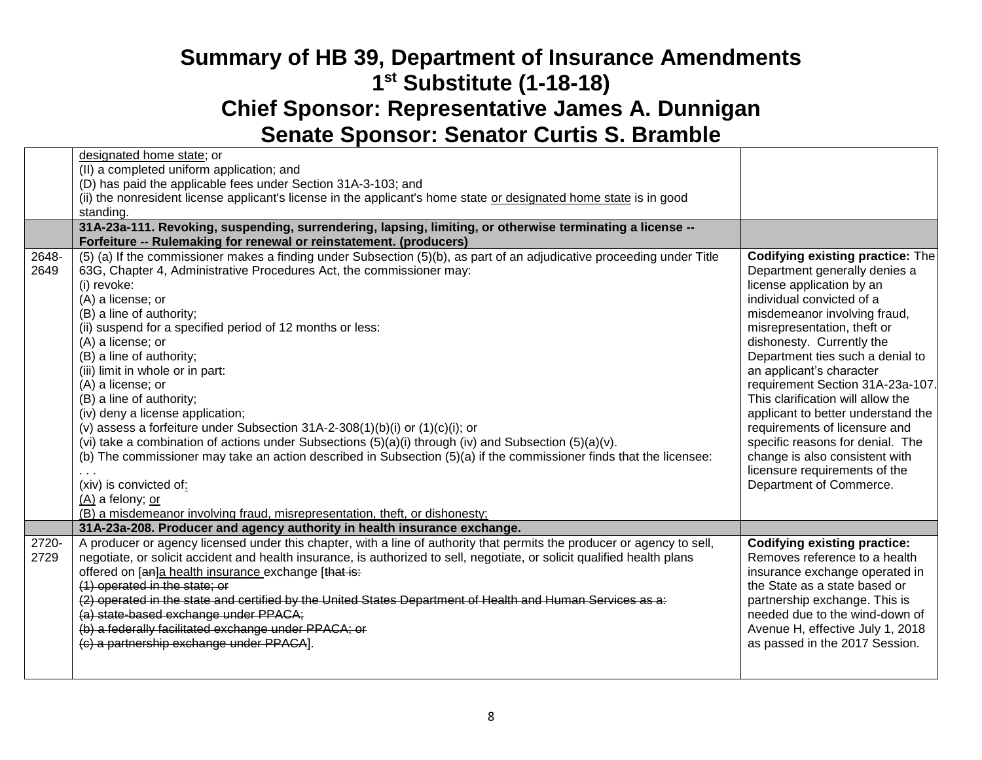|       | designated home state; or                                                                                                |                                         |
|-------|--------------------------------------------------------------------------------------------------------------------------|-----------------------------------------|
|       | (II) a completed uniform application; and                                                                                |                                         |
|       | (D) has paid the applicable fees under Section 31A-3-103; and                                                            |                                         |
|       | (ii) the nonresident license applicant's license in the applicant's home state or designated home state is in good       |                                         |
|       | standing.                                                                                                                |                                         |
|       | 31A-23a-111. Revoking, suspending, surrendering, lapsing, limiting, or otherwise terminating a license --                |                                         |
|       | Forfeiture -- Rulemaking for renewal or reinstatement. (producers)                                                       |                                         |
| 2648- | (5) (a) If the commissioner makes a finding under Subsection (5)(b), as part of an adjudicative proceeding under Title   | <b>Codifying existing practice: The</b> |
| 2649  | 63G, Chapter 4, Administrative Procedures Act, the commissioner may:                                                     | Department generally denies a           |
|       | (i) revoke:                                                                                                              | license application by an               |
|       | (A) a license; or                                                                                                        | individual convicted of a               |
|       | (B) a line of authority;                                                                                                 | misdemeanor involving fraud,            |
|       | (ii) suspend for a specified period of 12 months or less:                                                                | misrepresentation, theft or             |
|       | (A) a license; or                                                                                                        | dishonesty. Currently the               |
|       | (B) a line of authority;                                                                                                 | Department ties such a denial to        |
|       | (iii) limit in whole or in part:                                                                                         | an applicant's character                |
|       | (A) a license; or                                                                                                        | requirement Section 31A-23a-107.        |
|       | (B) a line of authority;                                                                                                 | This clarification will allow the       |
|       | (iv) deny a license application;                                                                                         | applicant to better understand the      |
|       | (v) assess a forfeiture under Subsection $31A-2-308(1)(b)(i)$ or $(1)(c)(i)$ ; or                                        | requirements of licensure and           |
|       | (vi) take a combination of actions under Subsections (5)(a)(i) through (iv) and Subsection (5)(a)(v).                    | specific reasons for denial. The        |
|       | (b) The commissioner may take an action described in Subsection (5)(a) if the commissioner finds that the licensee:      | change is also consistent with          |
|       |                                                                                                                          | licensure requirements of the           |
|       | (xiv) is convicted of:                                                                                                   | Department of Commerce.                 |
|       | (A) a felony; or                                                                                                         |                                         |
|       | (B) a misdemeanor involving fraud, misrepresentation, theft, or dishonesty;                                              |                                         |
|       | 31A-23a-208. Producer and agency authority in health insurance exchange.                                                 |                                         |
| 2720- | A producer or agency licensed under this chapter, with a line of authority that permits the producer or agency to sell,  | Codifying existing practice:            |
| 2729  | negotiate, or solicit accident and health insurance, is authorized to sell, negotiate, or solicit qualified health plans | Removes reference to a health           |
|       | offered on [an]a health insurance exchange [that is:                                                                     | insurance exchange operated in          |
|       | (1) operated in the state; or                                                                                            | the State as a state based or           |
|       | (2) operated in the state and certified by the United States Department of Health and Human Services as a:               | partnership exchange. This is           |
|       | (a) state-based exchange under PPACA;                                                                                    | needed due to the wind-down of          |
|       | (b) a federally facilitated exchange under PPACA; or                                                                     | Avenue H, effective July 1, 2018        |
|       | (c) a partnership exchange under PPACA].                                                                                 | as passed in the 2017 Session.          |
|       |                                                                                                                          |                                         |
|       |                                                                                                                          |                                         |
|       |                                                                                                                          |                                         |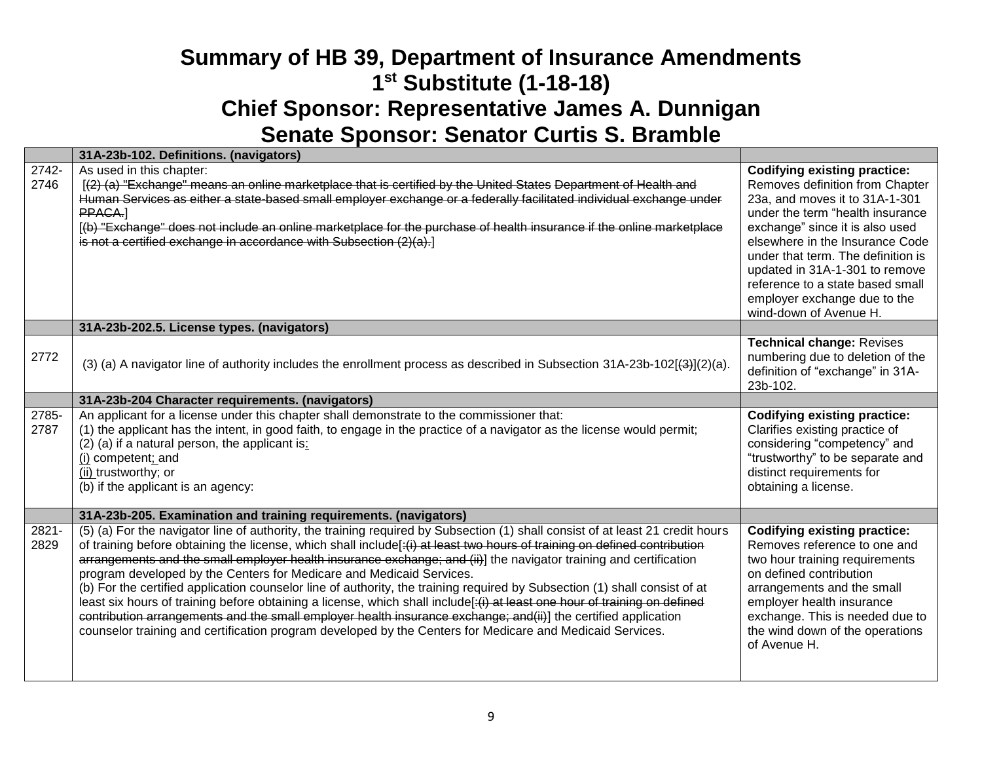|               | 31A-23b-102. Definitions. (navigators)                                                                                                                                                                                                                                                                                                                                                                                                                                                                                                                                                                                                                                                                                                                                                                                                                                                                                                             |                                                                                                                                                                                                                                                                                                                                                                                          |
|---------------|----------------------------------------------------------------------------------------------------------------------------------------------------------------------------------------------------------------------------------------------------------------------------------------------------------------------------------------------------------------------------------------------------------------------------------------------------------------------------------------------------------------------------------------------------------------------------------------------------------------------------------------------------------------------------------------------------------------------------------------------------------------------------------------------------------------------------------------------------------------------------------------------------------------------------------------------------|------------------------------------------------------------------------------------------------------------------------------------------------------------------------------------------------------------------------------------------------------------------------------------------------------------------------------------------------------------------------------------------|
| 2742-<br>2746 | As used in this chapter:<br>[(2) (a) "Exchange" means an online marketplace that is certified by the United States Department of Health and<br>Human Services as either a state-based small employer exchange or a federally facilitated individual exchange under<br>PPACA.<br>[(b) "Exchange" does not include an online marketplace for the purchase of health insurance if the online marketplace<br>is not a certified exchange in accordance with Subsection (2)(a).]                                                                                                                                                                                                                                                                                                                                                                                                                                                                        | <b>Codifying existing practice:</b><br>Removes definition from Chapter<br>23a, and moves it to 31A-1-301<br>under the term "health insurance<br>exchange" since it is also used<br>elsewhere in the Insurance Code<br>under that term. The definition is<br>updated in 31A-1-301 to remove<br>reference to a state based small<br>employer exchange due to the<br>wind-down of Avenue H. |
|               | 31A-23b-202.5. License types. (navigators)                                                                                                                                                                                                                                                                                                                                                                                                                                                                                                                                                                                                                                                                                                                                                                                                                                                                                                         |                                                                                                                                                                                                                                                                                                                                                                                          |
| 2772          | (3) (a) A navigator line of authority includes the enrollment process as described in Subsection 31A-23b-102[ $(3)$ ](2)(a).                                                                                                                                                                                                                                                                                                                                                                                                                                                                                                                                                                                                                                                                                                                                                                                                                       | <b>Technical change: Revises</b><br>numbering due to deletion of the<br>definition of "exchange" in 31A-<br>23b-102.                                                                                                                                                                                                                                                                     |
|               | 31A-23b-204 Character requirements. (navigators)                                                                                                                                                                                                                                                                                                                                                                                                                                                                                                                                                                                                                                                                                                                                                                                                                                                                                                   |                                                                                                                                                                                                                                                                                                                                                                                          |
| 2785-<br>2787 | An applicant for a license under this chapter shall demonstrate to the commissioner that:<br>(1) the applicant has the intent, in good faith, to engage in the practice of a navigator as the license would permit;<br>(2) (a) if a natural person, the applicant is:<br>(i) competent; and<br>(ii) trustworthy; or<br>(b) if the applicant is an agency:                                                                                                                                                                                                                                                                                                                                                                                                                                                                                                                                                                                          | <b>Codifying existing practice:</b><br>Clarifies existing practice of<br>considering "competency" and<br>"trustworthy" to be separate and<br>distinct requirements for<br>obtaining a license.                                                                                                                                                                                           |
|               | 31A-23b-205. Examination and training requirements. (navigators)                                                                                                                                                                                                                                                                                                                                                                                                                                                                                                                                                                                                                                                                                                                                                                                                                                                                                   |                                                                                                                                                                                                                                                                                                                                                                                          |
| 2821-<br>2829 | (5) (a) For the navigator line of authority, the training required by Subsection (1) shall consist of at least 21 credit hours<br>of training before obtaining the license, which shall include[:(i) at least two hours of training on defined contribution<br>arrangements and the small employer health insurance exchange; and (ii)] the navigator training and certification<br>program developed by the Centers for Medicare and Medicaid Services.<br>(b) For the certified application counselor line of authority, the training required by Subsection (1) shall consist of at<br>least six hours of training before obtaining a license, which shall include[:(i) at least one hour of training on defined<br>contribution arrangements and the small employer health insurance exchange; and(ii)] the certified application<br>counselor training and certification program developed by the Centers for Medicare and Medicaid Services. | <b>Codifying existing practice:</b><br>Removes reference to one and<br>two hour training requirements<br>on defined contribution<br>arrangements and the small<br>employer health insurance<br>exchange. This is needed due to<br>the wind down of the operations<br>of Avenue H.                                                                                                        |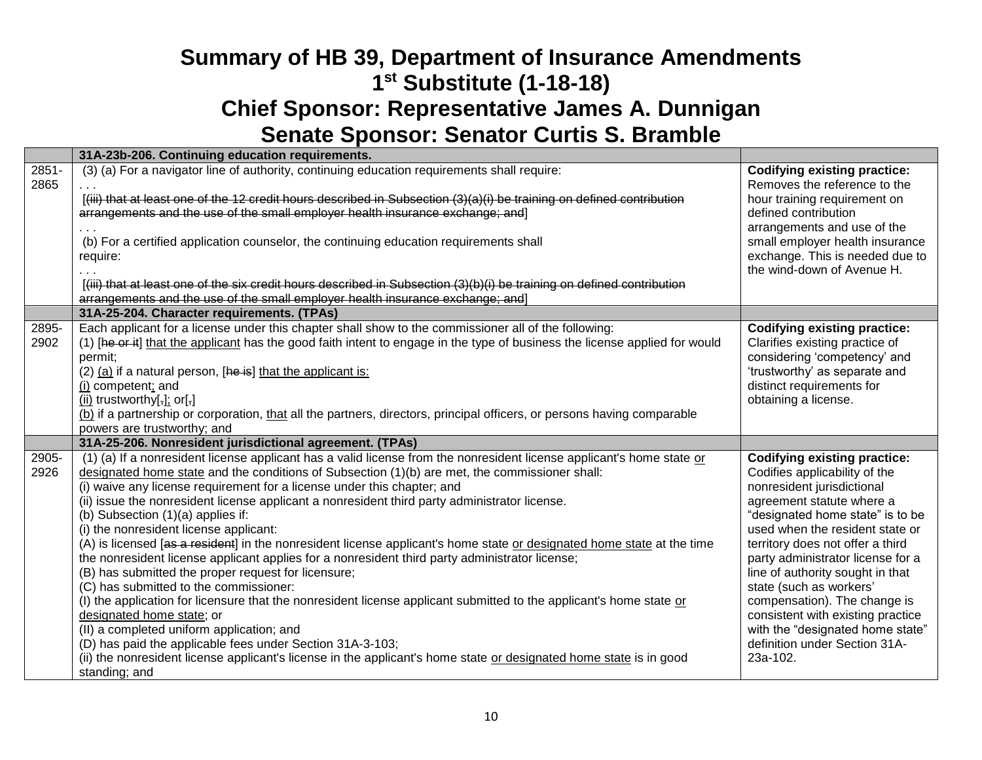|               | 31A-23b-206. Continuing education requirements.                                                                                                                                                                                                                                                                                                                                                                                                                                                                                                                                                                                                                                                                                                                                                                                                                                                                                                                                                                                                                                                                                                                                                                        |                                                                                                                                                                                                                                                                                                                                                                                                                                                                                                      |
|---------------|------------------------------------------------------------------------------------------------------------------------------------------------------------------------------------------------------------------------------------------------------------------------------------------------------------------------------------------------------------------------------------------------------------------------------------------------------------------------------------------------------------------------------------------------------------------------------------------------------------------------------------------------------------------------------------------------------------------------------------------------------------------------------------------------------------------------------------------------------------------------------------------------------------------------------------------------------------------------------------------------------------------------------------------------------------------------------------------------------------------------------------------------------------------------------------------------------------------------|------------------------------------------------------------------------------------------------------------------------------------------------------------------------------------------------------------------------------------------------------------------------------------------------------------------------------------------------------------------------------------------------------------------------------------------------------------------------------------------------------|
| 2851-<br>2865 | (3) (a) For a navigator line of authority, continuing education requirements shall require:                                                                                                                                                                                                                                                                                                                                                                                                                                                                                                                                                                                                                                                                                                                                                                                                                                                                                                                                                                                                                                                                                                                            | <b>Codifying existing practice:</b><br>Removes the reference to the                                                                                                                                                                                                                                                                                                                                                                                                                                  |
|               | [(iii) that at least one of the 12 credit hours described in Subsection (3)(a)(i) be training on defined contribution<br>arrangements and the use of the small employer health insurance exchange; and]                                                                                                                                                                                                                                                                                                                                                                                                                                                                                                                                                                                                                                                                                                                                                                                                                                                                                                                                                                                                                | hour training requirement on<br>defined contribution                                                                                                                                                                                                                                                                                                                                                                                                                                                 |
|               | (b) For a certified application counselor, the continuing education requirements shall<br>require:                                                                                                                                                                                                                                                                                                                                                                                                                                                                                                                                                                                                                                                                                                                                                                                                                                                                                                                                                                                                                                                                                                                     | arrangements and use of the<br>small employer health insurance<br>exchange. This is needed due to<br>the wind-down of Avenue H.                                                                                                                                                                                                                                                                                                                                                                      |
|               | [(iii) that at least one of the six credit hours described in Subsection (3)(b)(i) be training on defined contribution<br>arrangements and the use of the small employer health insurance exchange; and]                                                                                                                                                                                                                                                                                                                                                                                                                                                                                                                                                                                                                                                                                                                                                                                                                                                                                                                                                                                                               |                                                                                                                                                                                                                                                                                                                                                                                                                                                                                                      |
|               | 31A-25-204. Character requirements. (TPAs)                                                                                                                                                                                                                                                                                                                                                                                                                                                                                                                                                                                                                                                                                                                                                                                                                                                                                                                                                                                                                                                                                                                                                                             |                                                                                                                                                                                                                                                                                                                                                                                                                                                                                                      |
| 2895-<br>2902 | Each applicant for a license under this chapter shall show to the commissioner all of the following:<br>(1) [he or it] that the applicant has the good faith intent to engage in the type of business the license applied for would<br>permit;<br>(2) (a) if a natural person, [he is] that the applicant is:<br>(i) competent; and<br>$(ii)$ trustworthy[ $\frac{1}{2}$ ]; or[ $\frac{1}{2}$ ]<br>(b) if a partnership or corporation, that all the partners, directors, principal officers, or persons having comparable                                                                                                                                                                                                                                                                                                                                                                                                                                                                                                                                                                                                                                                                                             | <b>Codifying existing practice:</b><br>Clarifies existing practice of<br>considering 'competency' and<br>'trustworthy' as separate and<br>distinct requirements for<br>obtaining a license.                                                                                                                                                                                                                                                                                                          |
|               | powers are trustworthy; and                                                                                                                                                                                                                                                                                                                                                                                                                                                                                                                                                                                                                                                                                                                                                                                                                                                                                                                                                                                                                                                                                                                                                                                            |                                                                                                                                                                                                                                                                                                                                                                                                                                                                                                      |
|               | 31A-25-206. Nonresident jurisdictional agreement. (TPAs)                                                                                                                                                                                                                                                                                                                                                                                                                                                                                                                                                                                                                                                                                                                                                                                                                                                                                                                                                                                                                                                                                                                                                               |                                                                                                                                                                                                                                                                                                                                                                                                                                                                                                      |
| 2905-<br>2926 | (1) (a) If a nonresident license applicant has a valid license from the nonresident license applicant's home state or<br>designated home state and the conditions of Subsection (1)(b) are met, the commissioner shall:<br>(i) waive any license requirement for a license under this chapter; and<br>(ii) issue the nonresident license applicant a nonresident third party administrator license.<br>(b) Subsection $(1)(a)$ applies if:<br>(i) the nonresident license applicant:<br>(A) is licensed [as a resident] in the nonresident license applicant's home state or designated home state at the time<br>the nonresident license applicant applies for a nonresident third party administrator license;<br>(B) has submitted the proper request for licensure;<br>(C) has submitted to the commissioner:<br>(I) the application for licensure that the nonresident license applicant submitted to the applicant's home state or<br>designated home state; or<br>(II) a completed uniform application; and<br>(D) has paid the applicable fees under Section 31A-3-103;<br>(ii) the nonresident license applicant's license in the applicant's home state or designated home state is in good<br>standing; and | <b>Codifying existing practice:</b><br>Codifies applicability of the<br>nonresident jurisdictional<br>agreement statute where a<br>"designated home state" is to be<br>used when the resident state or<br>territory does not offer a third<br>party administrator license for a<br>line of authority sought in that<br>state (such as workers'<br>compensation). The change is<br>consistent with existing practice<br>with the "designated home state"<br>definition under Section 31A-<br>23a-102. |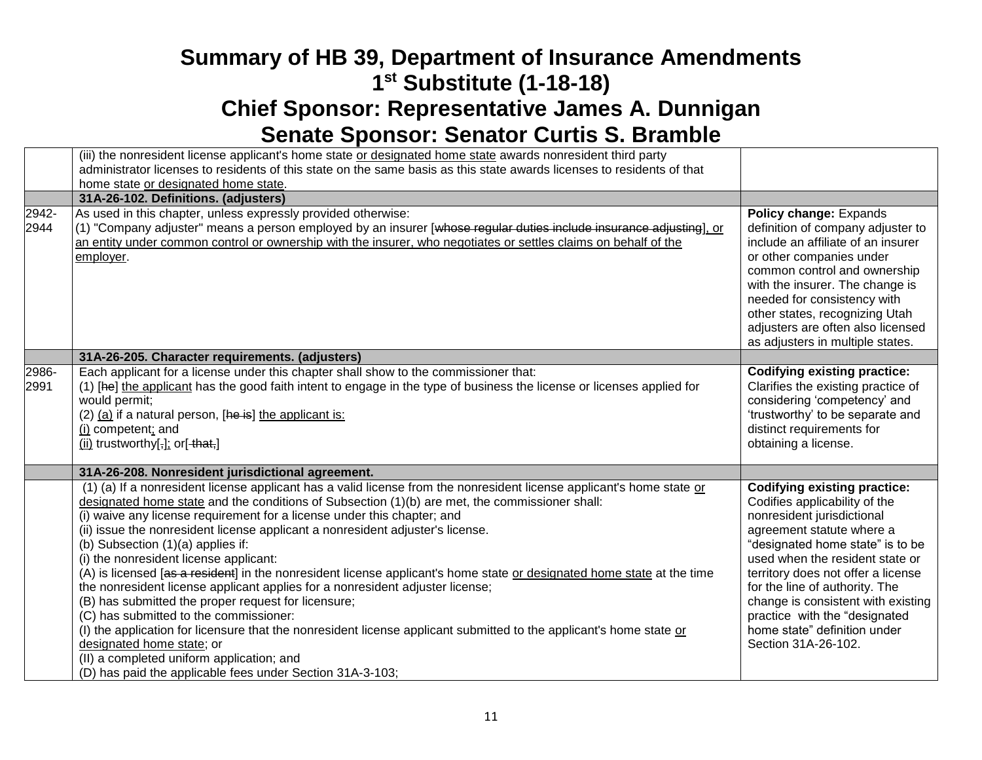|               | (iii) the nonresident license applicant's home state or designated home state awards nonresident third party                                                                                                                                                                                                                                                                                                                                                                                                                                                                                                                                                                                                                                                                                                                                                                                                                                                                                                                                    |                                                                                                                                                                                                                                                                                                                                                                                                              |
|---------------|-------------------------------------------------------------------------------------------------------------------------------------------------------------------------------------------------------------------------------------------------------------------------------------------------------------------------------------------------------------------------------------------------------------------------------------------------------------------------------------------------------------------------------------------------------------------------------------------------------------------------------------------------------------------------------------------------------------------------------------------------------------------------------------------------------------------------------------------------------------------------------------------------------------------------------------------------------------------------------------------------------------------------------------------------|--------------------------------------------------------------------------------------------------------------------------------------------------------------------------------------------------------------------------------------------------------------------------------------------------------------------------------------------------------------------------------------------------------------|
|               | administrator licenses to residents of this state on the same basis as this state awards licenses to residents of that                                                                                                                                                                                                                                                                                                                                                                                                                                                                                                                                                                                                                                                                                                                                                                                                                                                                                                                          |                                                                                                                                                                                                                                                                                                                                                                                                              |
|               | home state or designated home state.                                                                                                                                                                                                                                                                                                                                                                                                                                                                                                                                                                                                                                                                                                                                                                                                                                                                                                                                                                                                            |                                                                                                                                                                                                                                                                                                                                                                                                              |
|               | 31A-26-102. Definitions. (adjusters)                                                                                                                                                                                                                                                                                                                                                                                                                                                                                                                                                                                                                                                                                                                                                                                                                                                                                                                                                                                                            |                                                                                                                                                                                                                                                                                                                                                                                                              |
| 2942-<br>2944 | As used in this chapter, unless expressly provided otherwise:<br>(1) "Company adjuster" means a person employed by an insurer [whose regular duties include insurance adjusting], or<br>an entity under common control or ownership with the insurer, who negotiates or settles claims on behalf of the<br>employer.                                                                                                                                                                                                                                                                                                                                                                                                                                                                                                                                                                                                                                                                                                                            | Policy change: Expands<br>definition of company adjuster to<br>include an affiliate of an insurer<br>or other companies under<br>common control and ownership<br>with the insurer. The change is<br>needed for consistency with<br>other states, recognizing Utah<br>adjusters are often also licensed<br>as adjusters in multiple states.                                                                   |
|               | 31A-26-205. Character requirements. (adjusters)                                                                                                                                                                                                                                                                                                                                                                                                                                                                                                                                                                                                                                                                                                                                                                                                                                                                                                                                                                                                 |                                                                                                                                                                                                                                                                                                                                                                                                              |
| 2986-<br>2991 | Each applicant for a license under this chapter shall show to the commissioner that:<br>(1) [he] the applicant has the good faith intent to engage in the type of business the license or licenses applied for<br>would permit;<br>(2) (a) if a natural person, [he is] the applicant is:<br>(i) competent; and<br>(ii) trustworthy[ $\frac{1}{2}$ ]; or[-that,]                                                                                                                                                                                                                                                                                                                                                                                                                                                                                                                                                                                                                                                                                | <b>Codifying existing practice:</b><br>Clarifies the existing practice of<br>considering 'competency' and<br>'trustworthy' to be separate and<br>distinct requirements for<br>obtaining a license.                                                                                                                                                                                                           |
|               | 31A-26-208. Nonresident jurisdictional agreement.                                                                                                                                                                                                                                                                                                                                                                                                                                                                                                                                                                                                                                                                                                                                                                                                                                                                                                                                                                                               |                                                                                                                                                                                                                                                                                                                                                                                                              |
|               | (1) (a) If a nonresident license applicant has a valid license from the nonresident license applicant's home state or<br>designated home state and the conditions of Subsection $(1)(b)$ are met, the commissioner shall:<br>(i) waive any license requirement for a license under this chapter; and<br>(ii) issue the nonresident license applicant a nonresident adjuster's license.<br>(b) Subsection (1)(a) applies if:<br>(i) the nonresident license applicant:<br>(A) is licensed [as a resident] in the nonresident license applicant's home state or designated home state at the time<br>the nonresident license applicant applies for a nonresident adjuster license;<br>(B) has submitted the proper request for licensure;<br>(C) has submitted to the commissioner:<br>(I) the application for licensure that the nonresident license applicant submitted to the applicant's home state or<br>designated home state; or<br>(II) a completed uniform application; and<br>(D) has paid the applicable fees under Section 31A-3-103; | <b>Codifying existing practice:</b><br>Codifies applicability of the<br>nonresident jurisdictional<br>agreement statute where a<br>"designated home state" is to be<br>used when the resident state or<br>territory does not offer a license<br>for the line of authority. The<br>change is consistent with existing<br>practice with the "designated<br>home state" definition under<br>Section 31A-26-102. |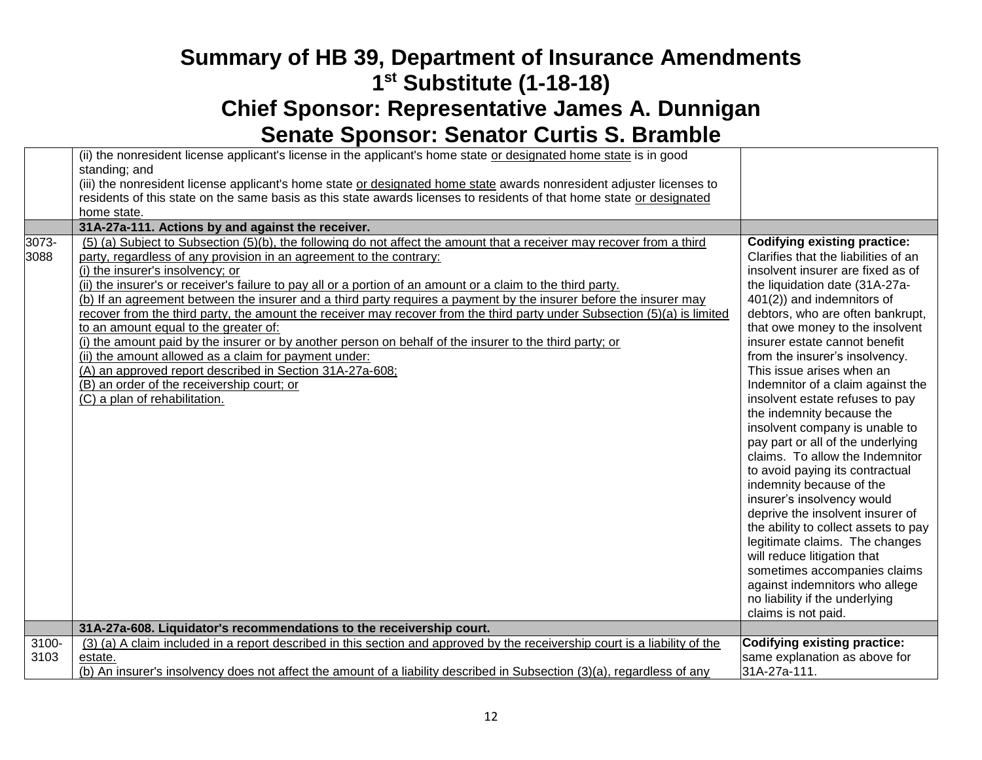|               | (ii) the nonresident license applicant's license in the applicant's home state or designated home state is in good<br>standing; and                                                                                                                                                                                                                                                                                                                                                                                                                                                                                                                                                                                                                                                                                                                                                                                                                         |                                                                                                                                                                                                                                                                                                                                                                                                                                                                                                                                                                                                           |
|---------------|-------------------------------------------------------------------------------------------------------------------------------------------------------------------------------------------------------------------------------------------------------------------------------------------------------------------------------------------------------------------------------------------------------------------------------------------------------------------------------------------------------------------------------------------------------------------------------------------------------------------------------------------------------------------------------------------------------------------------------------------------------------------------------------------------------------------------------------------------------------------------------------------------------------------------------------------------------------|-----------------------------------------------------------------------------------------------------------------------------------------------------------------------------------------------------------------------------------------------------------------------------------------------------------------------------------------------------------------------------------------------------------------------------------------------------------------------------------------------------------------------------------------------------------------------------------------------------------|
|               | (iii) the nonresident license applicant's home state or designated home state awards nonresident adjuster licenses to                                                                                                                                                                                                                                                                                                                                                                                                                                                                                                                                                                                                                                                                                                                                                                                                                                       |                                                                                                                                                                                                                                                                                                                                                                                                                                                                                                                                                                                                           |
|               | residents of this state on the same basis as this state awards licenses to residents of that home state or designated                                                                                                                                                                                                                                                                                                                                                                                                                                                                                                                                                                                                                                                                                                                                                                                                                                       |                                                                                                                                                                                                                                                                                                                                                                                                                                                                                                                                                                                                           |
|               | home state.                                                                                                                                                                                                                                                                                                                                                                                                                                                                                                                                                                                                                                                                                                                                                                                                                                                                                                                                                 |                                                                                                                                                                                                                                                                                                                                                                                                                                                                                                                                                                                                           |
|               | 31A-27a-111. Actions by and against the receiver.                                                                                                                                                                                                                                                                                                                                                                                                                                                                                                                                                                                                                                                                                                                                                                                                                                                                                                           |                                                                                                                                                                                                                                                                                                                                                                                                                                                                                                                                                                                                           |
| 3073-<br>3088 | (5) (a) Subject to Subsection (5)(b), the following do not affect the amount that a receiver may recover from a third<br>party, regardless of any provision in an agreement to the contrary:<br>(i) the insurer's insolvency; or<br>(ii) the insurer's or receiver's failure to pay all or a portion of an amount or a claim to the third party.<br>(b) If an agreement between the insurer and a third party requires a payment by the insurer before the insurer may<br>recover from the third party, the amount the receiver may recover from the third party under Subsection (5)(a) is limited<br>to an amount equal to the greater of:<br>(i) the amount paid by the insurer or by another person on behalf of the insurer to the third party; or<br>(ii) the amount allowed as a claim for payment under:<br>(A) an approved report described in Section 31A-27a-608;<br>(B) an order of the receivership court; or<br>(C) a plan of rehabilitation. | <b>Codifying existing practice:</b><br>Clarifies that the liabilities of an<br>insolvent insurer are fixed as of<br>the liquidation date (31A-27a-<br>401(2)) and indemnitors of<br>debtors, who are often bankrupt,<br>that owe money to the insolvent<br>insurer estate cannot benefit<br>from the insurer's insolvency.<br>This issue arises when an<br>Indemnitor of a claim against the<br>insolvent estate refuses to pay<br>the indemnity because the<br>insolvent company is unable to<br>pay part or all of the underlying<br>claims. To allow the Indemnitor<br>to avoid paying its contractual |
|               |                                                                                                                                                                                                                                                                                                                                                                                                                                                                                                                                                                                                                                                                                                                                                                                                                                                                                                                                                             | indemnity because of the<br>insurer's insolvency would<br>deprive the insolvent insurer of<br>the ability to collect assets to pay<br>legitimate claims. The changes<br>will reduce litigation that                                                                                                                                                                                                                                                                                                                                                                                                       |
|               |                                                                                                                                                                                                                                                                                                                                                                                                                                                                                                                                                                                                                                                                                                                                                                                                                                                                                                                                                             | sometimes accompanies claims<br>against indemnitors who allege<br>no liability if the underlying<br>claims is not paid.                                                                                                                                                                                                                                                                                                                                                                                                                                                                                   |
|               | 31A-27a-608. Liquidator's recommendations to the receivership court.                                                                                                                                                                                                                                                                                                                                                                                                                                                                                                                                                                                                                                                                                                                                                                                                                                                                                        |                                                                                                                                                                                                                                                                                                                                                                                                                                                                                                                                                                                                           |
| $3100 -$      | (3) (a) A claim included in a report described in this section and approved by the receivership court is a liability of the                                                                                                                                                                                                                                                                                                                                                                                                                                                                                                                                                                                                                                                                                                                                                                                                                                 | Codifying existing practice:                                                                                                                                                                                                                                                                                                                                                                                                                                                                                                                                                                              |
| 3103          | estate.                                                                                                                                                                                                                                                                                                                                                                                                                                                                                                                                                                                                                                                                                                                                                                                                                                                                                                                                                     | same explanation as above for                                                                                                                                                                                                                                                                                                                                                                                                                                                                                                                                                                             |
|               | (b) An insurer's insolvency does not affect the amount of a liability described in Subsection (3)(a), regardless of any                                                                                                                                                                                                                                                                                                                                                                                                                                                                                                                                                                                                                                                                                                                                                                                                                                     | 31A-27a-111.                                                                                                                                                                                                                                                                                                                                                                                                                                                                                                                                                                                              |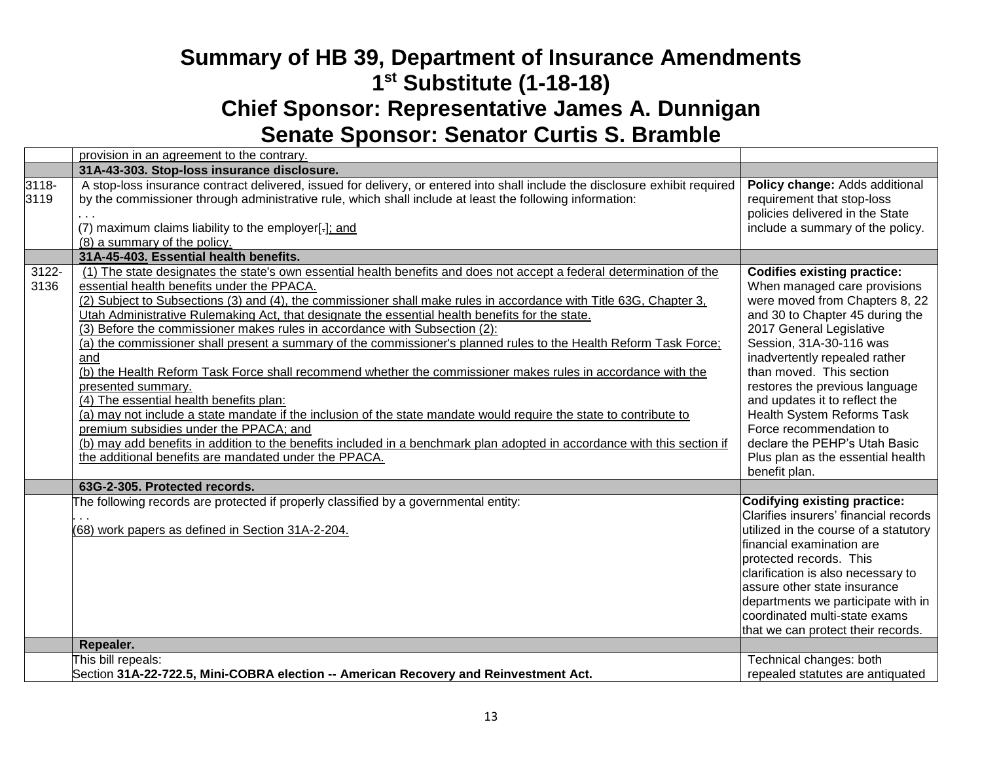|               | provision in an agreement to the contrary.                                                                                                                                                                                                                                                                                                                                                                                                                                                                                                                                                                                                                                                                                                                                                                                                                                                                                                                                                                                                                                                                                                   |                                                                                                                                                                                                                                                                                                                                                                                                                                                                                       |
|---------------|----------------------------------------------------------------------------------------------------------------------------------------------------------------------------------------------------------------------------------------------------------------------------------------------------------------------------------------------------------------------------------------------------------------------------------------------------------------------------------------------------------------------------------------------------------------------------------------------------------------------------------------------------------------------------------------------------------------------------------------------------------------------------------------------------------------------------------------------------------------------------------------------------------------------------------------------------------------------------------------------------------------------------------------------------------------------------------------------------------------------------------------------|---------------------------------------------------------------------------------------------------------------------------------------------------------------------------------------------------------------------------------------------------------------------------------------------------------------------------------------------------------------------------------------------------------------------------------------------------------------------------------------|
|               | 31A-43-303. Stop-loss insurance disclosure.                                                                                                                                                                                                                                                                                                                                                                                                                                                                                                                                                                                                                                                                                                                                                                                                                                                                                                                                                                                                                                                                                                  |                                                                                                                                                                                                                                                                                                                                                                                                                                                                                       |
| 3118-<br>3119 | A stop-loss insurance contract delivered, issued for delivery, or entered into shall include the disclosure exhibit required<br>by the commissioner through administrative rule, which shall include at least the following information:<br>(7) maximum claims liability to the employer[-]; and<br>(8) a summary of the policy.                                                                                                                                                                                                                                                                                                                                                                                                                                                                                                                                                                                                                                                                                                                                                                                                             | Policy change: Adds additional<br>requirement that stop-loss<br>policies delivered in the State<br>include a summary of the policy.                                                                                                                                                                                                                                                                                                                                                   |
|               | 31A-45-403. Essential health benefits.                                                                                                                                                                                                                                                                                                                                                                                                                                                                                                                                                                                                                                                                                                                                                                                                                                                                                                                                                                                                                                                                                                       |                                                                                                                                                                                                                                                                                                                                                                                                                                                                                       |
| 3122-<br>3136 | (1) The state designates the state's own essential health benefits and does not accept a federal determination of the<br>essential health benefits under the PPACA.<br>(2) Subject to Subsections (3) and (4), the commissioner shall make rules in accordance with Title 63G, Chapter 3,<br>Utah Administrative Rulemaking Act, that designate the essential health benefits for the state.<br>(3) Before the commissioner makes rules in accordance with Subsection (2):<br>(a) the commissioner shall present a summary of the commissioner's planned rules to the Health Reform Task Force;<br>and<br>(b) the Health Reform Task Force shall recommend whether the commissioner makes rules in accordance with the<br>presented summary.<br>(4) The essential health benefits plan:<br>(a) may not include a state mandate if the inclusion of the state mandate would require the state to contribute to<br>premium subsidies under the PPACA; and<br>(b) may add benefits in addition to the benefits included in a benchmark plan adopted in accordance with this section if<br>the additional benefits are mandated under the PPACA. | <b>Codifies existing practice:</b><br>When managed care provisions<br>were moved from Chapters 8, 22<br>and 30 to Chapter 45 during the<br>2017 General Legislative<br>Session, 31A-30-116 was<br>inadvertently repealed rather<br>than moved. This section<br>restores the previous language<br>and updates it to reflect the<br><b>Health System Reforms Task</b><br>Force recommendation to<br>declare the PEHP's Utah Basic<br>Plus plan as the essential health<br>benefit plan. |
|               | 63G-2-305. Protected records.                                                                                                                                                                                                                                                                                                                                                                                                                                                                                                                                                                                                                                                                                                                                                                                                                                                                                                                                                                                                                                                                                                                |                                                                                                                                                                                                                                                                                                                                                                                                                                                                                       |
|               | The following records are protected if properly classified by a governmental entity:<br>(68) work papers as defined in Section 31A-2-204.<br>Repealer.                                                                                                                                                                                                                                                                                                                                                                                                                                                                                                                                                                                                                                                                                                                                                                                                                                                                                                                                                                                       | <b>Codifying existing practice:</b><br>Clarifies insurers' financial records<br>utilized in the course of a statutory<br>lfinancial examination are<br>protected records. This<br>clarification is also necessary to<br>assure other state insurance<br>departments we participate with in<br>coordinated multi-state exams<br>that we can protect their records.                                                                                                                     |
|               | This bill repeals:                                                                                                                                                                                                                                                                                                                                                                                                                                                                                                                                                                                                                                                                                                                                                                                                                                                                                                                                                                                                                                                                                                                           | Technical changes: both                                                                                                                                                                                                                                                                                                                                                                                                                                                               |
|               | Section 31A-22-722.5, Mini-COBRA election -- American Recovery and Reinvestment Act.                                                                                                                                                                                                                                                                                                                                                                                                                                                                                                                                                                                                                                                                                                                                                                                                                                                                                                                                                                                                                                                         | repealed statutes are antiquated                                                                                                                                                                                                                                                                                                                                                                                                                                                      |